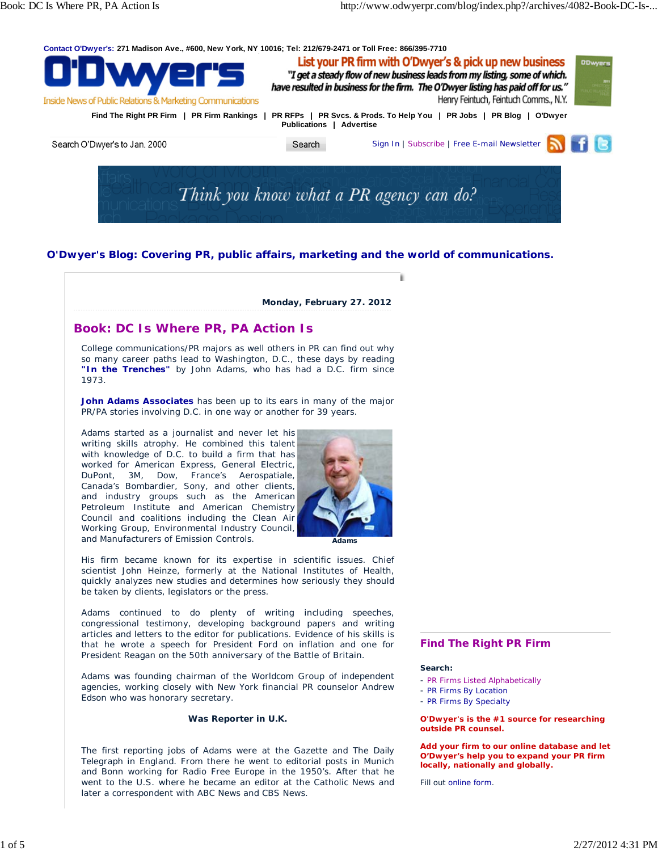



# **O'Dwyer's Blog: Covering PR, public affairs, marketing and the world of communications.**



His firm became known for its expertise in scientific issues. Chief scientist John Heinze, formerly at the National Institutes of Health, quickly analyzes new studies and determines how seriously they should be taken by clients, legislators or the press.

Adams continued to do plenty of writing including speeches, congressional testimony, developing background papers and writing articles and letters to the editor for publications. Evidence of his skills is that he wrote a speech for President Ford on inflation and one for President Reagan on the 50th anniversary of the Battle of Britain.

Adams was founding chairman of the Worldcom Group of independent agencies, working closely with New York financial PR counselor Andrew Edson who was honorary secretary.

### **Was Reporter in U.K.**

The first reporting jobs of Adams were at the *Gazette* and *The Daily Telegraph* in England. From there he went to editorial posts in Munich and Bonn working for Radio Free Europe in the 1950's. After that he went to the U.S. where he became an editor at the Catholic News and later a correspondent with ABC News and CBS News.

### **Find The Right PR Firm**

#### **Search:**

- PR Firms Listed Alphabetically
- PR Firms By Location
- PR Firms By Specialty

**O'Dwyer's is the #1 source for researching outside PR counsel.**

**Add your firm to our online database and let O'Dwyer's help you to expand your PR firm locally, nationally and globally.**

Fill out online form.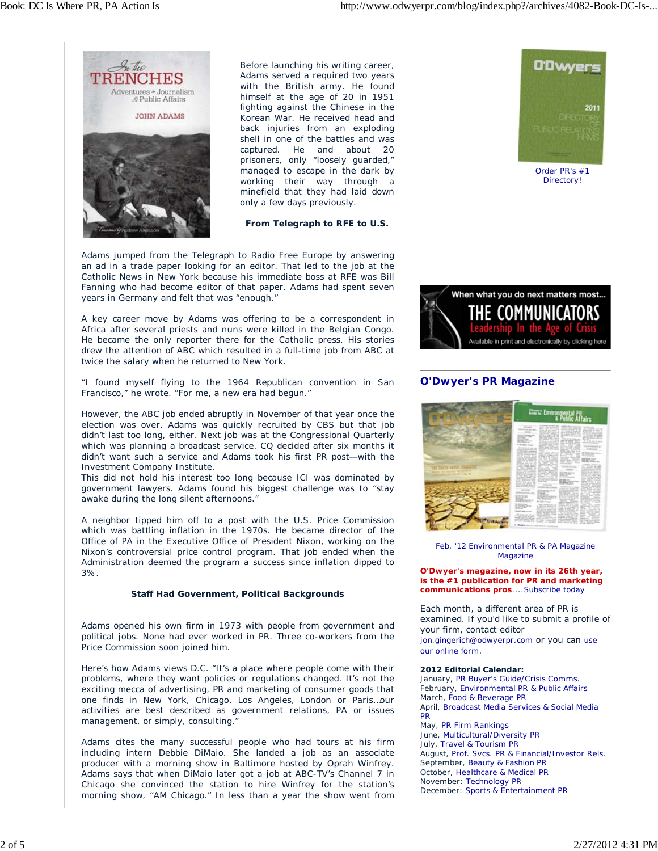

Before launching his writing career, Adams served a required two years with the British army. He found himself at the age of 20 in 1951 fighting against the Chinese in the Korean War. He received head and back injuries from an exploding shell in one of the battles and was captured. He and about 20 prisoners, only "loosely guarded," managed to escape in the dark by working their way through a minefield that they had laid down only a few days previously.

#### **From Telegraph to RFE to U.S.**

Adams jumped from the Telegraph to Radio Free Europe by answering an ad in a trade paper looking for an editor. That led to the job at the Catholic News in New York because his immediate boss at RFE was Bill Fanning who had become editor of that paper. Adams had spent seven years in Germany and felt that was "enough."

A key career move by Adams was offering to be a correspondent in Africa after several priests and nuns were killed in the Belgian Congo. He became the only reporter there for the Catholic press. His stories drew the attention of ABC which resulted in a full-time job from ABC at twice the salary when he returned to New York.

"I found myself flying to the 1964 Republican convention in San Francisco," he wrote. "For me, a new era had begun."

However, the ABC job ended abruptly in November of that year once the election was over. Adams was quickly recruited by CBS but that job didn't last too long, either. Next job was at the Congressional Quarterly which was planning a broadcast service. CQ decided after six months it didn't want such a service and Adams took his first PR post—with the Investment Company Institute.

This did not hold his interest too long because ICI was dominated by government lawyers. Adams found his biggest challenge was to "stay awake during the long silent afternoons."

A neighbor tipped him off to a post with the U.S. Price Commission which was battling inflation in the 1970s. He became director of the Office of PA in the Executive Office of President Nixon, working on the Nixon's controversial price control program. That job ended when the Administration deemed the program a success since inflation dipped to 3%.

#### **Staff Had Government, Political Backgrounds**

Adams opened his own firm in 1973 with people from government and political jobs. None had ever worked in PR. Three co-workers from the Price Commission soon joined him.

Here's how Adams views D.C. "It's a place where people come with their problems, where they want policies or regulations changed. It's not the exciting mecca of advertising, PR and marketing of consumer goods that one finds in New York, Chicago, Los Angeles, London or Paris…our activities are best described as government relations, PA or issues management, or simply, consulting."

Adams cites the many successful people who had tours at his firm including intern Debbie DiMaio. She landed a job as an associate producer with a morning show in Baltimore hosted by Oprah Winfrey. Adams says that when DiMaio later got a job at ABC-TV's Channel 7 in Chicago she convinced the station to hire Winfrey for the station's morning show, "AM Chicago." In less than a year the show went from



Order PR's #1 Directory!



# **O'Dwyer's PR Magazine**



Feb. '12 Environmental PR & PA Magazine Magazine

**O'Dwyer's magazine, now in its 26th year, is the #1 publication for PR and marketing communications pros**....Subscribe today

Each month, a different area of PR is examined. If you'd like to submit a profile of your firm, contact editor jon.gingerich@odwyerpr.com or you can use our online form.

#### **2012 Editorial Calendar:**

January, *PR Buyer's Guide/Crisis Comms.* February, *Environmental PR & Public Affairs* March, *Food & Beverage PR* April, *Broadcast Media Services & Social Media PR* May, *PR Firm Rankings* June, *Multicultural/Diversity PR* July, *Travel & Tourism PR* August, *Prof. Svcs. PR & Financial/Investor Rels.* September, *Beauty & Fashion PR* October, *Healthcare & Medical PR* November: *Technology PR* December: *Sports & Entertainment PR*